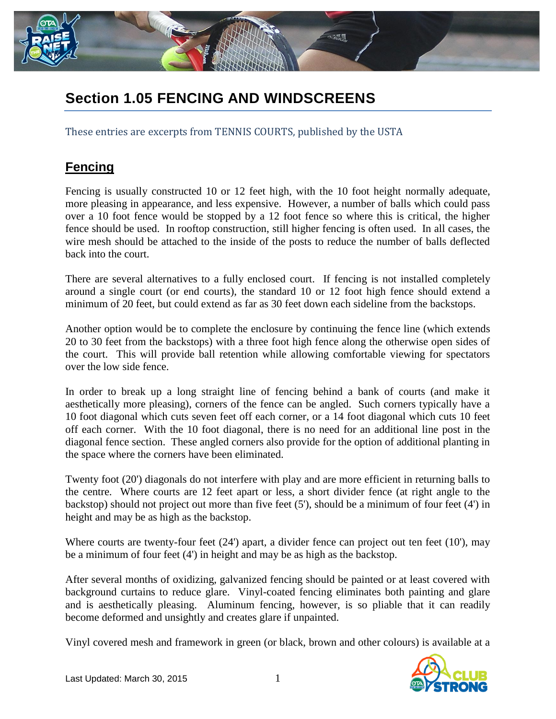

# **Section 1.05 FENCING AND WINDSCREENS**

These entries are excerpts from TENNIS COURTS, published by the USTA

# **Fencing**

Fencing is usually constructed 10 or 12 feet high, with the 10 foot height normally adequate, more pleasing in appearance, and less expensive. However, a number of balls which could pass over a 10 foot fence would be stopped by a 12 foot fence so where this is critical, the higher fence should be used. In rooftop construction, still higher fencing is often used. In all cases, the wire mesh should be attached to the inside of the posts to reduce the number of balls deflected back into the court.

There are several alternatives to a fully enclosed court. If fencing is not installed completely around a single court (or end courts), the standard 10 or 12 foot high fence should extend a minimum of 20 feet, but could extend as far as 30 feet down each sideline from the backstops.

Another option would be to complete the enclosure by continuing the fence line (which extends 20 to 30 feet from the backstops) with a three foot high fence along the otherwise open sides of the court. This will provide ball retention while allowing comfortable viewing for spectators over the low side fence.

In order to break up a long straight line of fencing behind a bank of courts (and make it aesthetically more pleasing), corners of the fence can be angled. Such corners typically have a 10 foot diagonal which cuts seven feet off each corner, or a 14 foot diagonal which cuts 10 feet off each corner. With the 10 foot diagonal, there is no need for an additional line post in the diagonal fence section. These angled corners also provide for the option of additional planting in the space where the corners have been eliminated.

Twenty foot (20') diagonals do not interfere with play and are more efficient in returning balls to the centre. Where courts are 12 feet apart or less, a short divider fence (at right angle to the backstop) should not project out more than five feet (5'), should be a minimum of four feet (4') in height and may be as high as the backstop.

Where courts are twenty-four feet (24') apart, a divider fence can project out ten feet (10'), may be a minimum of four feet (4') in height and may be as high as the backstop.

After several months of oxidizing, galvanized fencing should be painted or at least covered with background curtains to reduce glare. Vinyl-coated fencing eliminates both painting and glare and is aesthetically pleasing. Aluminum fencing, however, is so pliable that it can readily become deformed and unsightly and creates glare if unpainted.

Vinyl covered mesh and framework in green (or black, brown and other colours) is available at a

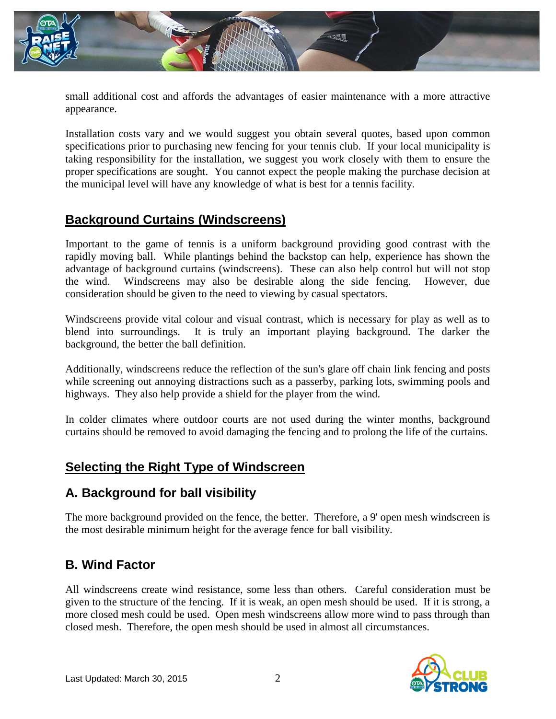

small additional cost and affords the advantages of easier maintenance with a more attractive appearance.

Installation costs vary and we would suggest you obtain several quotes, based upon common specifications prior to purchasing new fencing for your tennis club. If your local municipality is taking responsibility for the installation, we suggest you work closely with them to ensure the proper specifications are sought. You cannot expect the people making the purchase decision at the municipal level will have any knowledge of what is best for a tennis facility.

### **Background Curtains (Windscreens)**

Important to the game of tennis is a uniform background providing good contrast with the rapidly moving ball. While plantings behind the backstop can help, experience has shown the advantage of background curtains (windscreens). These can also help control but will not stop the wind. Windscreens may also be desirable along the side fencing. However, due consideration should be given to the need to viewing by casual spectators.

Windscreens provide vital colour and visual contrast, which is necessary for play as well as to blend into surroundings. It is truly an important playing background. The darker the background, the better the ball definition.

Additionally, windscreens reduce the reflection of the sun's glare off chain link fencing and posts while screening out annoying distractions such as a passerby, parking lots, swimming pools and highways. They also help provide a shield for the player from the wind.

In colder climates where outdoor courts are not used during the winter months, background curtains should be removed to avoid damaging the fencing and to prolong the life of the curtains.

### **Selecting the Right Type of Windscreen**

### **A. Background for ball visibility**

The more background provided on the fence, the better. Therefore, a 9' open mesh windscreen is the most desirable minimum height for the average fence for ball visibility.

### **B. Wind Factor**

All windscreens create wind resistance, some less than others. Careful consideration must be given to the structure of the fencing. If it is weak, an open mesh should be used. If it is strong, a more closed mesh could be used. Open mesh windscreens allow more wind to pass through than closed mesh. Therefore, the open mesh should be used in almost all circumstances.

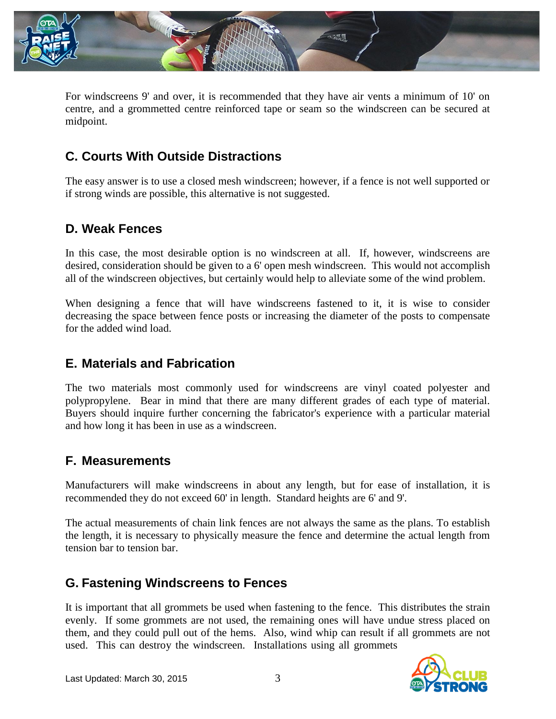

For windscreens 9' and over, it is recommended that they have air vents a minimum of 10' on centre, and a grommetted centre reinforced tape or seam so the windscreen can be secured at midpoint.

# **C. Courts With Outside Distractions**

The easy answer is to use a closed mesh windscreen; however, if a fence is not well supported or if strong winds are possible, this alternative is not suggested.

# **D. Weak Fences**

In this case, the most desirable option is no windscreen at all. If, however, windscreens are desired, consideration should be given to a 6' open mesh windscreen. This would not accomplish all of the windscreen objectives, but certainly would help to alleviate some of the wind problem.

When designing a fence that will have windscreens fastened to it, it is wise to consider decreasing the space between fence posts or increasing the diameter of the posts to compensate for the added wind load.

### **E. Materials and Fabrication**

The two materials most commonly used for windscreens are vinyl coated polyester and polypropylene. Bear in mind that there are many different grades of each type of material. Buyers should inquire further concerning the fabricator's experience with a particular material and how long it has been in use as a windscreen.

### **F. Measurements**

Manufacturers will make windscreens in about any length, but for ease of installation, it is recommended they do not exceed 60' in length. Standard heights are 6' and 9'.

The actual measurements of chain link fences are not always the same as the plans. To establish the length, it is necessary to physically measure the fence and determine the actual length from tension bar to tension bar.

# **G. Fastening Windscreens to Fences**

It is important that all grommets be used when fastening to the fence. This distributes the strain evenly. If some grommets are not used, the remaining ones will have undue stress placed on them, and they could pull out of the hems. Also, wind whip can result if all grommets are not used. This can destroy the windscreen. Installations using all grommets